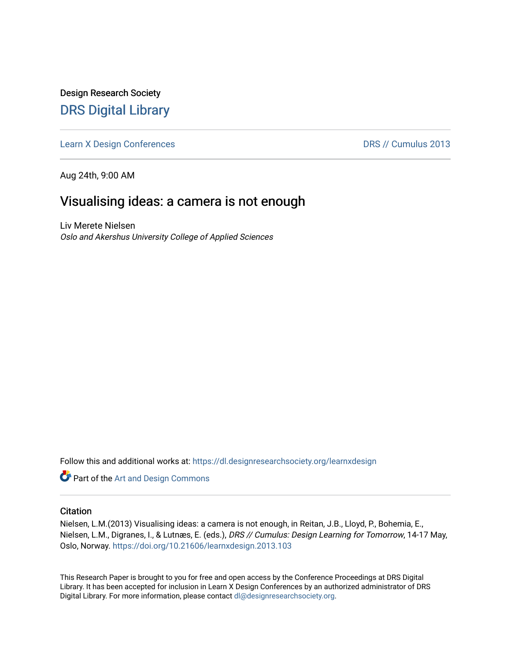Design Research Society [DRS Digital Library](https://dl.designresearchsociety.org/)

[Learn X Design Conferences](https://dl.designresearchsociety.org/learnxdesign) [DRS // Cumulus 2013](https://dl.designresearchsociety.org/learnxdesign/learnxdesign2013) 

Aug 24th, 9:00 AM

# Visualising ideas: a camera is not enough

Liv Merete Nielsen Oslo and Akershus University College of Applied Sciences

Follow this and additional works at: [https://dl.designresearchsociety.org/learnxdesign](https://dl.designresearchsociety.org/learnxdesign?utm_source=dl.designresearchsociety.org%2Flearnxdesign%2Flearnxdesign2013%2Fresearchpapers%2F101&utm_medium=PDF&utm_campaign=PDFCoverPages)

**Part of the [Art and Design Commons](http://network.bepress.com/hgg/discipline/1049?utm_source=dl.designresearchsociety.org%2Flearnxdesign%2Flearnxdesign2013%2Fresearchpapers%2F101&utm_medium=PDF&utm_campaign=PDFCoverPages)** 

### **Citation**

Nielsen, L.M.(2013) Visualising ideas: a camera is not enough, in Reitan, J.B., Lloyd, P., Bohemia, E., Nielsen, L.M., Digranes, I., & Lutnæs, E. (eds.), DRS // Cumulus: Design Learning for Tomorrow, 14-17 May, Oslo, Norway.<https://doi.org/10.21606/learnxdesign.2013.103>

This Research Paper is brought to you for free and open access by the Conference Proceedings at DRS Digital Library. It has been accepted for inclusion in Learn X Design Conferences by an authorized administrator of DRS Digital Library. For more information, please contact [dl@designresearchsociety.org](mailto:dl@designresearchsociety.org).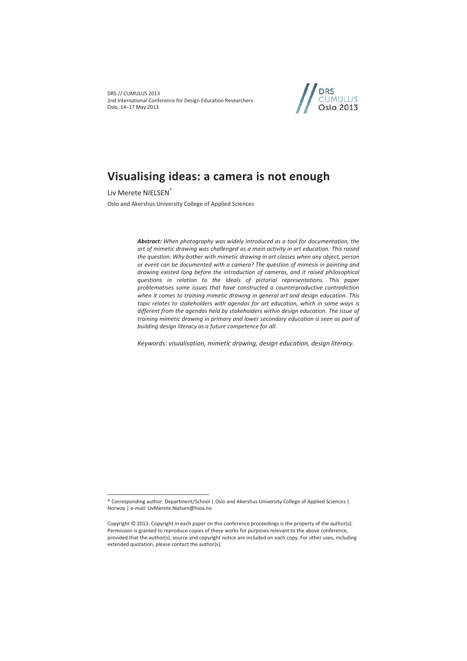DRS // CUMULUS 2013 2nd International Conference for Design Education Researchers Oslo, 14–17 May 2013



# **Visualising ideas: a camera is not enough**

Liv Merete NIELSEN\*

 $\overline{a}$ 

Oslo and Akershus University College of Applied Sciences

*Abstract: When photography was widely introduced as a tool for documentation, the art of mimetic drawing was challenged as a main activity in art education. This raised the question: Why bother with mimetic drawing in art classes when any object, person or event can be documented with a camera? The question of mimesis in painting and drawing existed long before the introduction of cameras, and it raised philosophical questions in relation to the ideals of pictorial representations. This paper problematises some issues that have constructed a counterproductive contradiction when it comes to training mimetic drawing in general art and design education. This*  topic relates to stakeholders with agendas for art education, which in some ways is *different from the agendas held by stakeholders within design education. The issue of training mimetic drawing in primary and lower secondary education is seen as part of building design literacy as a future competence for all.* 

*Keywords: visualisation, mimetic drawing, design education, design literacy.* 

<sup>\*</sup> Corresponding author: Department/School | Oslo and Akershus University College of Applied Sciences | Norway | e-mail: LivMerete.Nielsen@hioa.no

Copyright © 2013. Copyright in each paper on this conference proceedings is the property of the author(s). Permission is granted to reproduce copies of these works for purposes relevant to the above conference, provided that the author(s), source and copyright notice are included on each copy. For other uses, including extended quotation, please contact the author(s).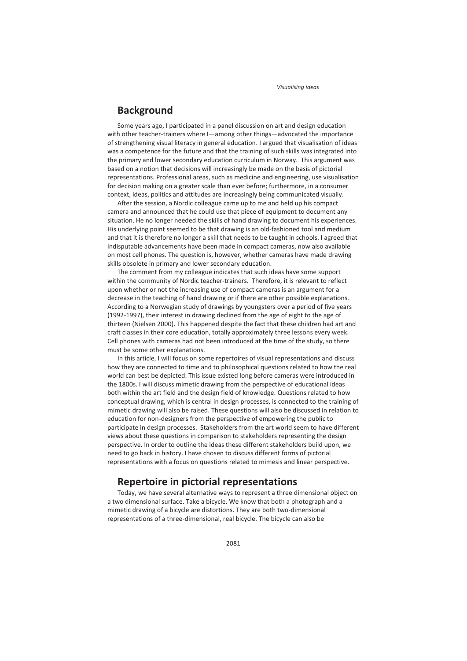### **Background**

Some years ago, I participated in a panel discussion on art and design education with other teacher-trainers where I—among other things—advocated the importance of strengthening visual literacy in general education. I argued that visualisation of ideas was a competence for the future and that the training of such skills was integrated into the primary and lower secondary education curriculum in Norway. This argument was based on a notion that decisions will increasingly be made on the basis of pictorial representations. Professional areas, such as medicine and engineering, use visualisation for decision making on a greater scale than ever before; furthermore, in a consumer context, ideas, politics and attitudes are increasingly being communicated visually.

After the session, a Nordic colleague came up to me and held up his compact camera and announced that he could use that piece of equipment to document any situation. He no longer needed the skills of hand drawing to document his experiences. His underlying point seemed to be that drawing is an old-fashioned tool and medium and that it is therefore no longer a skill that needs to be taught in schools. I agreed that indisputable advancements have been made in compact cameras, now also available on most cell phones. The question is, however, whether cameras have made drawing skills obsolete in primary and lower secondary education.

The comment from my colleague indicates that such ideas have some support within the community of Nordic teacher-trainers. Therefore, it is relevant to reflect upon whether or not the increasing use of compact cameras is an argument for a decrease in the teaching of hand drawing or if there are other possible explanations. According to a Norwegian study of drawings by youngsters over a period of five years (1992-1997), their interest in drawing declined from the age of eight to the age of thirteen (Nielsen 2000). This happened despite the fact that these children had art and craft classes in their core education, totally approximately three lessons every week. Cell phones with cameras had not been introduced at the time of the study, so there must be some other explanations.

In this article, I will focus on some repertoires of visual representations and discuss how they are connected to time and to philosophical questions related to how the real world can best be depicted. This issue existed long before cameras were introduced in the 1800s. I will discuss mimetic drawing from the perspective of educational ideas both within the art field and the design field of knowledge. Questions related to how conceptual drawing, which is central in design processes, is connected to the training of mimetic drawing will also be raised. These questions will also be discussed in relation to education for non-designers from the perspective of empowering the public to participate in design processes. Stakeholders from the art world seem to have different views about these questions in comparison to stakeholders representing the design perspective. In order to outline the ideas these different stakeholders build upon, we need to go back in history. I have chosen to discuss different forms of pictorial representations with a focus on questions related to mimesis and linear perspective.

## **Repertoire in pictorial representations**

Today, we have several alternative ways to represent a three dimensional object on a two dimensional surface. Take a bicycle. We know that both a photograph and a mimetic drawing of a bicycle are distortions. They are both two-dimensional representations of a three-dimensional, real bicycle. The bicycle can also be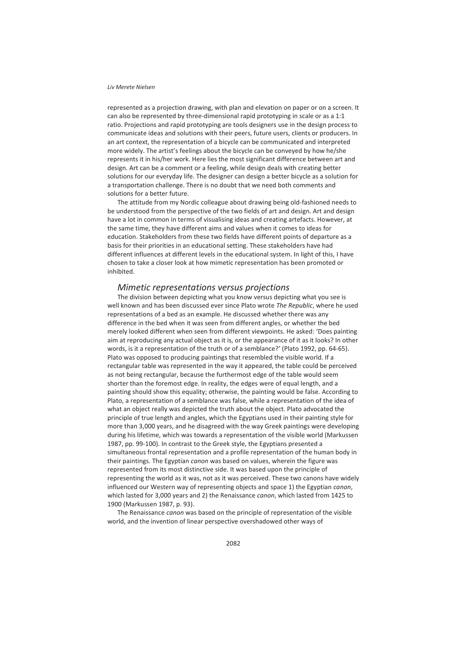represented as a projection drawing, with plan and elevation on paper or on a screen. It can also be represented by three-dimensional rapid prototyping in scale or as a 1:1 ratio. Projections and rapid prototyping are tools designers use in the design process to communicate ideas and solutions with their peers, future users, clients or producers. In an art context, the representation of a bicycle can be communicated and interpreted more widely. The artist's feelings about the bicycle can be conveyed by how he/she represents it in his/her work. Here lies the most significant difference between art and design. Art can be a comment or a feeling, while design deals with creating better solutions for our everyday life. The designer can design a better bicycle as a solution for a transportation challenge. There is no doubt that we need both comments and solutions for a better future.

The attitude from my Nordic colleague about drawing being old-fashioned needs to be understood from the perspective of the two fields of art and design. Art and design have a lot in common in terms of visualising ideas and creating artefacts. However, at the same time, they have different aims and values when it comes to ideas for education. Stakeholders from these two fields have different points of departure as a basis for their priorities in an educational setting. These stakeholders have had different influences at different levels in the educational system. In light of this, I have chosen to take a closer look at how mimetic representation has been promoted or inhibited.

### *Mimetic representations versus projections*

The division between depicting what you know versus depicting what you see is well known and has been discussed ever since Plato wrote *The Republic*, where he used representations of a bed as an example. He discussed whether there was any difference in the bed when it was seen from different angles, or whether the bed merely looked different when seen from different viewpoints. He asked: 'Does painting aim at reproducing any actual object as it is, or the appearance of it as it looks? In other words, is it a representation of the truth or of a semblance?' (Plato 1992, pp. 64-65). Plato was opposed to producing paintings that resembled the visible world. If a rectangular table was represented in the way it appeared, the table could be perceived as not being rectangular, because the furthermost edge of the table would seem shorter than the foremost edge. In reality, the edges were of equal length, and a painting should show this equality; otherwise, the painting would be false. According to Plato, a representation of a semblance was false, while a representation of the idea of what an object really was depicted the truth about the object. Plato advocated the principle of true length and angles, which the Egyptians used in their painting style for more than 3,000 years, and he disagreed with the way Greek paintings were developing during his lifetime, which was towards a representation of the visible world (Markussen 1987, pp. 99-100). In contrast to the Greek style, the Egyptians presented a simultaneous frontal representation and a profile representation of the human body in their paintings. The Egyptian *canon* was based on values, wherein the figure was represented from its most distinctive side. It was based upon the principle of representing the world as it was, not as it was perceived. These two canons have widely influenced our Western way of representing objects and space 1) the Egyptian *canon*, which lasted for 3,000 years and 2) the Renaissance *canon*, which lasted from 1425 to 1900 (Markussen 1987, p. 93).

The Renaissance *canon* was based on the principle of representation of the visible world, and the invention of linear perspective overshadowed other ways of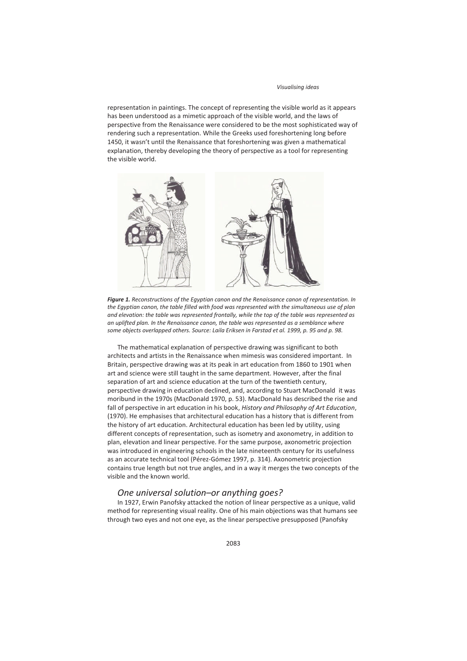representation in paintings. The concept of representing the visible world as it appears has been understood as a mimetic approach of the visible world, and the laws of perspective from the Renaissance were considered to be the most sophisticated way of rendering such a representation. While the Greeks used foreshortening long before 1450, it wasn't until the Renaissance that foreshortening was given a mathematical explanation, thereby developing the theory of perspective as a tool for representing the visible world.



*Figure 1. Reconstructions of the Egyptian canon and the Renaissance canon of representation. In the Egyptian canon, the table filled with food was represented with the simultaneous use of plan and elevation: the table was represented frontally, while the top of the table was represented as an uplifted plan. In the Renaissance canon, the table was represented as a semblance where some objects overlapped others. Source: Laila Eriksen in Farstad et al. 1999, p. 95 and p. 98.* 

The mathematical explanation of perspective drawing was significant to both architects and artists in the Renaissance when mimesis was considered important. In Britain, perspective drawing was at its peak in art education from 1860 to 1901 when art and science were still taught in the same department. However, after the final separation of art and science education at the turn of the twentieth century, perspective drawing in education declined, and, according to Stuart MacDonald it was moribund in the 1970s (MacDonald 1970, p. 53). MacDonald has described the rise and fall of perspective in art education in his book, *History and Philosophy of Art Education*, (1970). He emphasises that architectural education has a history that is different from the history of art education. Architectural education has been led by utility, using different concepts of representation, such as isometry and axonometry, in addition to plan, elevation and linear perspective. For the same purpose, axonometric projection was introduced in engineering schools in the late nineteenth century for its usefulness as an accurate technical tool (Pérez-Gómez 1997, p. 314). Axonometric projection contains true length but not true angles, and in a way it merges the two concepts of the visible and the known world.

### *One universal solution–or anything goes?*

In 1927, Erwin Panofsky attacked the notion of linear perspective as a unique, valid method for representing visual reality. One of his main objections was that humans see through two eyes and not one eye, as the linear perspective presupposed (Panofsky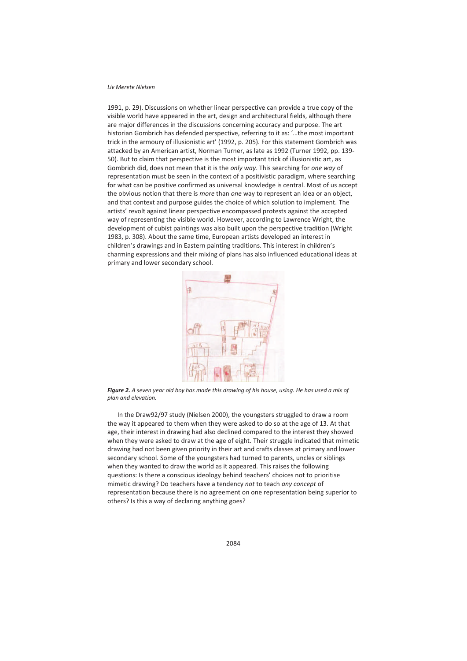1991, p. 29). Discussions on whether linear perspective can provide a true copy of the visible world have appeared in the art, design and architectural fields, although there are major differences in the discussions concerning accuracy and purpose. The art historian Gombrich has defended perspective, referring to it as: '…the most important trick in the armoury of illusionistic art' (1992, p. 205). For this statement Gombrich was attacked by an American artist, Norman Turner, as late as 1992 (Turner 1992, pp. 139- 50). But to claim that perspective is the most important trick of illusionistic art, as Gombrich did, does not mean that it is the *only way*. This searching for *one way* of representation must be seen in the context of a positivistic paradigm, where searching for what can be positive confirmed as universal knowledge is central. Most of us accept the obvious notion that there is *more* than *one* way to represent an idea or an object, and that context and purpose guides the choice of which solution to implement. The artists' revolt against linear perspective encompassed protests against the accepted way of representing the visible world. However, according to Lawrence Wright, the development of cubist paintings was also built upon the perspective tradition (Wright 1983, p. 308). About the same time, European artists developed an interest in children's drawings and in Eastern painting traditions. This interest in children's charming expressions and their mixing of plans has also influenced educational ideas at primary and lower secondary school.



*Figure 2. A seven year old boy has made this drawing of his house, using. He has used a mix of plan and elevation.* 

In the Draw92/97 study (Nielsen 2000), the youngsters struggled to draw a room the way it appeared to them when they were asked to do so at the age of 13. At that age, their interest in drawing had also declined compared to the interest they showed when they were asked to draw at the age of eight. Their struggle indicated that mimetic drawing had not been given priority in their art and crafts classes at primary and lower secondary school. Some of the youngsters had turned to parents, uncles or siblings when they wanted to draw the world as it appeared. This raises the following questions: Is there a conscious ideology behind teachers' choices not to prioritise mimetic drawing? Do teachers have a tendency *not* to teach *any concept* of representation because there is no agreement on one representation being superior to others? Is this a way of declaring anything goes?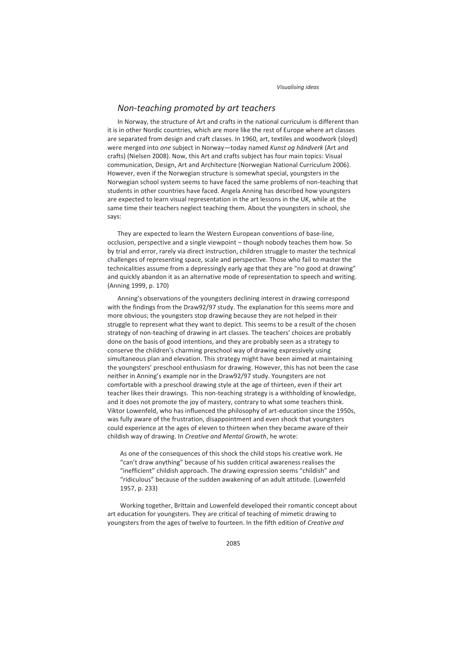### *Non-teaching promoted by art teachers*

In Norway, the structure of Art and crafts in the national curriculum is different than it is in other Nordic countries, which are more like the rest of Europe where art classes are separated from design and craft classes. In 1960, art, textiles and woodwork (sloyd) were merged into *one* subject in Norway—today named *Kunst og håndverk* (Art and crafts) (Nielsen 2008). Now, this Art and crafts subject has four main topics: Visual communication, Design, Art and Architecture (Norwegian National Curriculum 2006). However, even if the Norwegian structure is somewhat special, youngsters in the Norwegian school system seems to have faced the same problems of non-teaching that students in other countries have faced. Angela Anning has described how youngsters are expected to learn visual representation in the art lessons in the UK, while at the same time their teachers neglect teaching them. About the youngsters in school, she says:

They are expected to learn the Western European conventions of base-line, occlusion, perspective and a single viewpoint – though nobody teaches them how. So by trial and error, rarely via direct instruction, children struggle to master the technical challenges of representing space, scale and perspective. Those who fail to master the technicalities assume from a depressingly early age that they are "no good at drawing" and quickly abandon it as an alternative mode of representation to speech and writing. (Anning 1999, p. 170)

Anning's observations of the youngsters declining interest in drawing correspond with the findings from the Draw92/97 study. The explanation for this seems more and more obvious; the youngsters stop drawing because they are not helped in their struggle to represent what they want to depict. This seems to be a result of the chosen strategy of non-teaching of drawing in art classes. The teachers' choices are probably done on the basis of good intentions, and they are probably seen as a strategy to conserve the children's charming preschool way of drawing expressively using simultaneous plan and elevation. This strategy might have been aimed at maintaining the youngsters' preschool enthusiasm for drawing. However, this has not been the case neither in Anning's example nor in the Draw92/97 study. Youngsters are not comfortable with a preschool drawing style at the age of thirteen, even if their art teacher likes their drawings. This non-teaching strategy is a withholding of knowledge, and it does not promote the joy of mastery, contrary to what some teachers think. Viktor Lowenfeld, who has influenced the philosophy of art-education since the 1950s, was fully aware of the frustration, disappointment and even shock that youngsters could experience at the ages of eleven to thirteen when they became aware of their childish way of drawing. In *Creative and Mental Growth*, he wrote:

As one of the consequences of this shock the child stops his creative work. He "can't draw anything" because of his sudden critical awareness realises the "inefficient" childish approach. The drawing expression seems "childish" and "ridiculous" because of the sudden awakening of an adult attitude. (Lowenfeld 1957, p. 233)

Working together, Brittain and Lowenfeld developed their romantic concept about art education for youngsters. They are critical of teaching of mimetic drawing to youngsters from the ages of twelve to fourteen. In the fifth edition of *Creative and*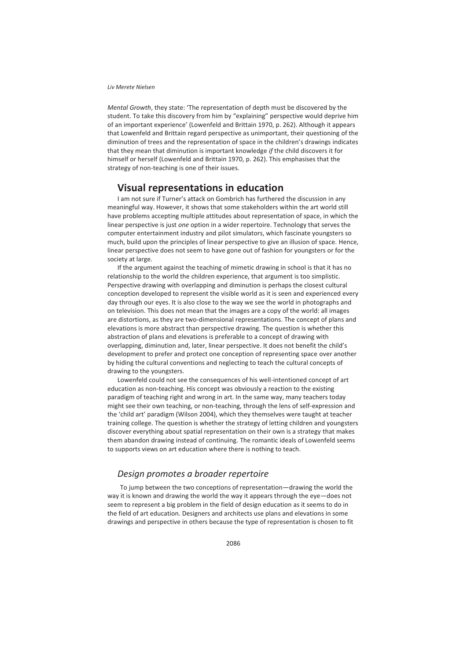*Mental Growth*, they state: 'The representation of depth must be discovered by the student. To take this discovery from him by "explaining" perspective would deprive him of an important experience' (Lowenfeld and Brittain 1970, p. 262). Although it appears that Lowenfeld and Brittain regard perspective as unimportant, their questioning of the diminution of trees and the representation of space in the children's drawings indicates that they mean that diminution is important knowledge *if* the child discovers it for himself or herself (Lowenfeld and Brittain 1970, p. 262). This emphasises that the strategy of non-teaching is one of their issues.

# **Visual representations in education**

I am not sure if Turner's attack on Gombrich has furthered the discussion in any meaningful way. However, it shows that some stakeholders within the art world still have problems accepting multiple attitudes about representation of space, in which the linear perspective is just *one* option in a wider repertoire. Technology that serves the computer entertainment industry and pilot simulators, which fascinate youngsters so much, build upon the principles of linear perspective to give an illusion of space. Hence, linear perspective does not seem to have gone out of fashion for youngsters or for the society at large.

If the argument against the teaching of mimetic drawing in school is that it has no relationship to the world the children experience, that argument is too simplistic. Perspective drawing with overlapping and diminution is perhaps the closest cultural conception developed to represent the visible world as it is seen and experienced every day through our eyes. It is also close to the way we see the world in photographs and on television. This does not mean that the images are a copy of the world: all images are distortions, as they are two-dimensional representations. The concept of plans and elevations is more abstract than perspective drawing. The question is whether this abstraction of plans and elevations is preferable to a concept of drawing with overlapping, diminution and, later, linear perspective. It does not benefit the child's development to prefer and protect one conception of representing space over another by hiding the cultural conventions and neglecting to teach the cultural concepts of drawing to the youngsters.

Lowenfeld could not see the consequences of his well-intentioned concept of art education as non-teaching. His concept was obviously a reaction to the existing paradigm of teaching right and wrong in art. In the same way, many teachers today might see their own teaching, or non-teaching, through the lens of self-expression and the 'child art' paradigm (Wilson 2004), which they themselves were taught at teacher training college. The question is whether the strategy of letting children and youngsters discover everything about spatial representation on their own is a strategy that makes them abandon drawing instead of continuing. The romantic ideals of Lowenfeld seems to supports views on art education where there is nothing to teach.

### *Design promotes a broader repertoire*

To jump between the two conceptions of representation—drawing the world the way it is known and drawing the world the way it appears through the eye—does not seem to represent a big problem in the field of design education as it seems to do in the field of art education. Designers and architects use plans and elevations in some drawings and perspective in others because the type of representation is chosen to fit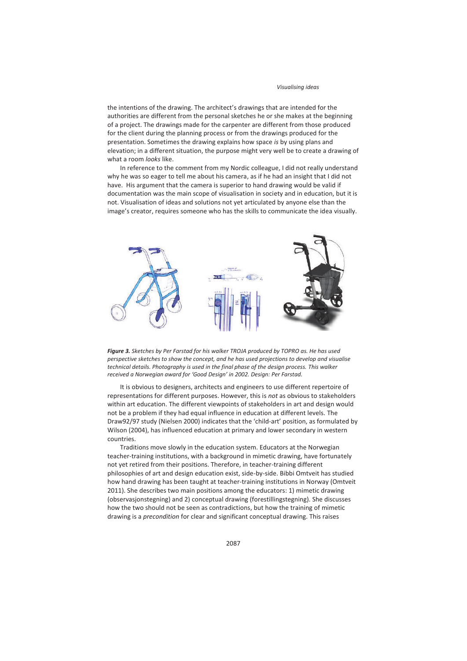the intentions of the drawing. The architect's drawings that are intended for the authorities are different from the personal sketches he or she makes at the beginning of a project. The drawings made for the carpenter are different from those produced for the client during the planning process or from the drawings produced for the presentation. Sometimes the drawing explains how space *is* by using plans and elevation; in a different situation, the purpose might very well be to create a drawing of what a room *looks* like.

In reference to the comment from my Nordic colleague, I did not really understand why he was so eager to tell me about his camera, as if he had an insight that I did not have. His argument that the camera is superior to hand drawing would be valid if documentation was the main scope of visualisation in society and in education, but it is not. Visualisation of ideas and solutions not yet articulated by anyone else than the image's creator, requires someone who has the skills to communicate the idea visually.



*Figure 3. Sketches by Per Farstad for his walker TROJA produced by TOPRO as. He has used perspective sketches to show the concept, and he has used projections to develop and visualise technical details. Photography is used in the final phase of the design process. This walker received a Norwegian award for 'Good Design' in 2002. Design: Per Farstad.* 

It is obvious to designers, architects and engineers to use different repertoire of representations for different purposes. However, this is *not* as obvious to stakeholders within art education. The different viewpoints of stakeholders in art and design would not be a problem if they had equal influence in education at different levels. The Draw92/97 study (Nielsen 2000) indicates that the 'child-art' position, as formulated by Wilson (2004), has influenced education at primary and lower secondary in western countries.

Traditions move slowly in the education system. Educators at the Norwegian teacher-training institutions, with a background in mimetic drawing, have fortunately not yet retired from their positions. Therefore, in teacher-training different philosophies of art and design education exist, side-by-side. Bibbi Omtveit has studied how hand drawing has been taught at teacher-training institutions in Norway (Omtveit 2011). She describes two main positions among the educators: 1) mimetic drawing (observasjonstegning) and 2) conceptual drawing (forestillingstegning). She discusses how the two should not be seen as contradictions, but how the training of mimetic drawing is a *precondition* for clear and significant conceptual drawing. This raises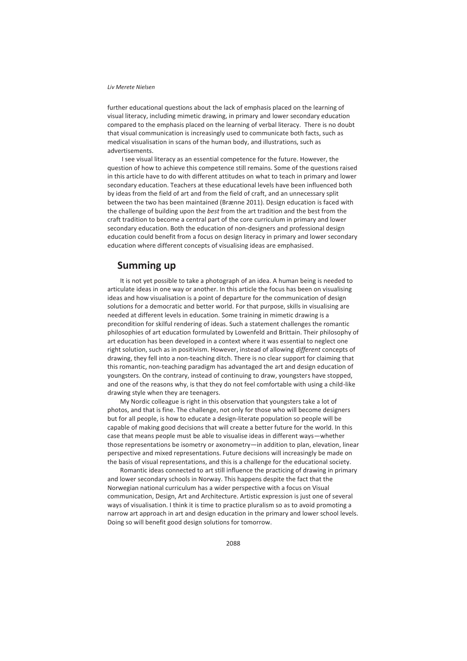further educational questions about the lack of emphasis placed on the learning of visual literacy, including mimetic drawing, in primary and lower secondary education compared to the emphasis placed on the learning of verbal literacy. There is no doubt that visual communication is increasingly used to communicate both facts, such as medical visualisation in scans of the human body, and illustrations, such as advertisements.

 I see visual literacy as an essential competence for the future. However, the question of how to achieve this competence still remains. Some of the questions raised in this article have to do with different attitudes on what to teach in primary and lower secondary education. Teachers at these educational levels have been influenced both by ideas from the field of art and from the field of craft, and an unnecessary split between the two has been maintained (Brænne 2011). Design education is faced with the challenge of building upon the *best* from the art tradition and the best from the craft tradition to become a central part of the core curriculum in primary and lower secondary education. Both the education of non-designers and professional design education could benefit from a focus on design literacy in primary and lower secondary education where different concepts of visualising ideas are emphasised.

## **Summing up**

It is not yet possible to take a photograph of an idea. A human being is needed to articulate ideas in one way or another. In this article the focus has been on visualising ideas and how visualisation is a point of departure for the communication of design solutions for a democratic and better world. For that purpose, skills in visualising are needed at different levels in education. Some training in mimetic drawing is a precondition for skilful rendering of ideas. Such a statement challenges the romantic philosophies of art education formulated by Lowenfeld and Brittain. Their philosophy of art education has been developed in a context where it was essential to neglect one right solution, such as in positivism. However, instead of allowing *different* concepts of drawing, they fell into a non-teaching ditch. There is no clear support for claiming that this romantic, non-teaching paradigm has advantaged the art and design education of youngsters. On the contrary, instead of continuing to draw, youngsters have stopped, and one of the reasons why, is that they do not feel comfortable with using a child-like drawing style when they are teenagers.

My Nordic colleague is right in this observation that youngsters take a lot of photos, and that is fine. The challenge, not only for those who will become designers but for all people, is how to educate a design-literate population so people will be capable of making good decisions that will create a better future for the world. In this case that means people must be able to visualise ideas in different ways—whether those representations be isometry or axonometry—in addition to plan, elevation, linear perspective and mixed representations. Future decisions will increasingly be made on the basis of visual representations, and this is a challenge for the educational society.

Romantic ideas connected to art still influence the practicing of drawing in primary and lower secondary schools in Norway. This happens despite the fact that the Norwegian national curriculum has a wider perspective with a focus on Visual communication, Design, Art and Architecture. Artistic expression is just one of several ways of visualisation. I think it is time to practice pluralism so as to avoid promoting a narrow art approach in art and design education in the primary and lower school levels. Doing so will benefit good design solutions for tomorrow.